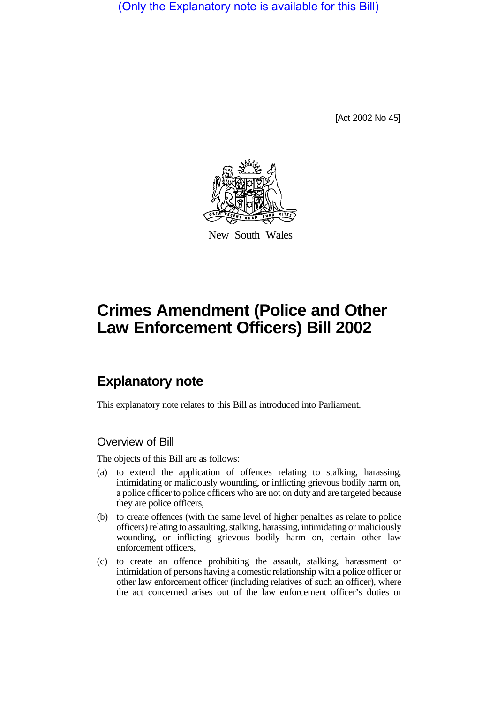(Only the Explanatory note is available for this Bill)

[Act 2002 No 45]



New South Wales

# **Crimes Amendment (Police and Other Law Enforcement Officers) Bill 2002**

## **Explanatory note**

This explanatory note relates to this Bill as introduced into Parliament.

#### Overview of Bill

The objects of this Bill are as follows:

- (a) to extend the application of offences relating to stalking, harassing, intimidating or maliciously wounding, or inflicting grievous bodily harm on, a police officer to police officers who are not on duty and are targeted because they are police officers,
- (b) to create offences (with the same level of higher penalties as relate to police officers) relating to assaulting, stalking, harassing, intimidating or maliciously wounding, or inflicting grievous bodily harm on, certain other law enforcement officers,
- (c) to create an offence prohibiting the assault, stalking, harassment or intimidation of persons having a domestic relationship with a police officer or other law enforcement officer (including relatives of such an officer), where the act concerned arises out of the law enforcement officer's duties or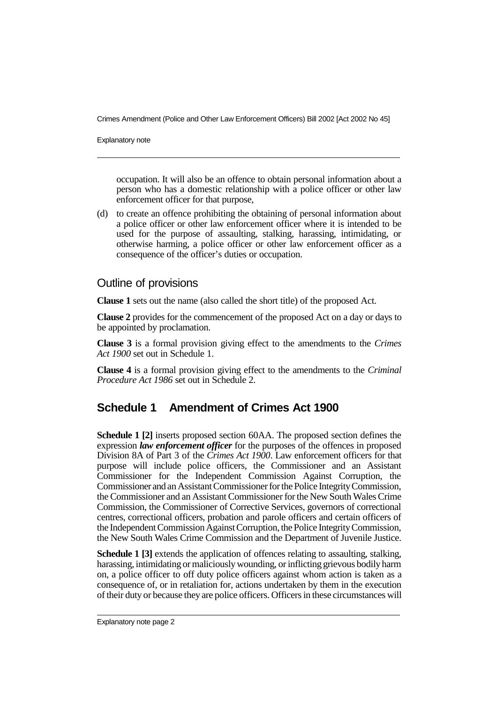Crimes Amendment (Police and Other Law Enforcement Officers) Bill 2002 [Act 2002 No 45]

Explanatory note

occupation. It will also be an offence to obtain personal information about a person who has a domestic relationship with a police officer or other law enforcement officer for that purpose,

(d) to create an offence prohibiting the obtaining of personal information about a police officer or other law enforcement officer where it is intended to be used for the purpose of assaulting, stalking, harassing, intimidating, or otherwise harming, a police officer or other law enforcement officer as a consequence of the officer's duties or occupation.

#### Outline of provisions

**Clause 1** sets out the name (also called the short title) of the proposed Act.

**Clause 2** provides for the commencement of the proposed Act on a day or days to be appointed by proclamation.

**Clause 3** is a formal provision giving effect to the amendments to the *Crimes Act 1900* set out in Schedule 1.

**Clause 4** is a formal provision giving effect to the amendments to the *Criminal Procedure Act 1986* set out in Schedule 2.

### **Schedule 1 Amendment of Crimes Act 1900**

**Schedule 1 [2]** inserts proposed section 60AA. The proposed section defines the expression *law enforcement officer* for the purposes of the offences in proposed Division 8A of Part 3 of the *Crimes Act 1900*. Law enforcement officers for that purpose will include police officers, the Commissioner and an Assistant Commissioner for the Independent Commission Against Corruption, the Commissionerand an Assistant Commissioner for the Police IntegrityCommission, the Commissioner and an Assistant Commissioner for the New South Wales Crime Commission, the Commissioner of Corrective Services, governors of correctional centres, correctional officers, probation and parole officers and certain officers of the Independent Commission Against Corruption, the Police IntegrityCommission, the New South Wales Crime Commission and the Department of Juvenile Justice.

**Schedule 1 [3]** extends the application of offences relating to assaulting, stalking, harassing, intimidating or maliciously wounding, or inflicting grievous bodily harm on, a police officer to off duty police officers against whom action is taken as a consequence of, or in retaliation for, actions undertaken by them in the execution of their duty or because they are police officers. Officers in these circumstances will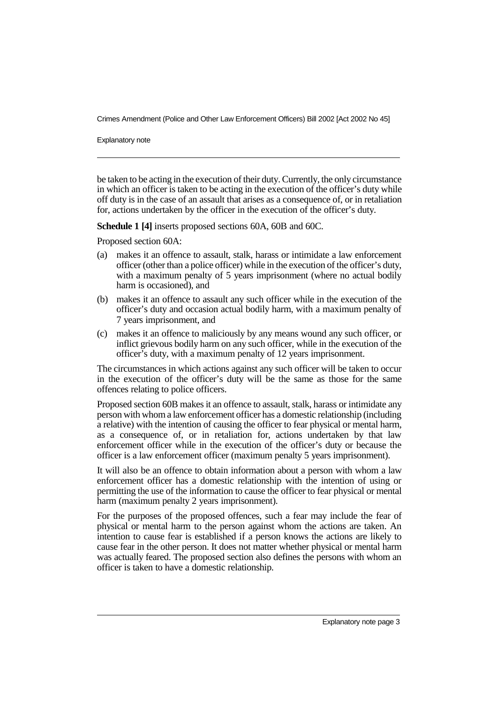Crimes Amendment (Police and Other Law Enforcement Officers) Bill 2002 [Act 2002 No 45]

Explanatory note

be taken to be acting in the execution of their duty. Currently, the only circumstance in which an officer is taken to be acting in the execution of the officer's duty while off duty is in the case of an assault that arises as a consequence of, or in retaliation for, actions undertaken by the officer in the execution of the officer's duty.

**Schedule 1 [4]** inserts proposed sections 60A, 60B and 60C.

Proposed section 60A:

- (a) makes it an offence to assault, stalk, harass or intimidate a law enforcement officer (other than a police officer) while in the execution of the officer's duty, with a maximum penalty of 5 years imprisonment (where no actual bodily harm is occasioned), and
- (b) makes it an offence to assault any such officer while in the execution of the officer's duty and occasion actual bodily harm, with a maximum penalty of 7 years imprisonment, and
- (c) makes it an offence to maliciously by any means wound any such officer, or inflict grievous bodily harm on any such officer, while in the execution of the officer's duty, with a maximum penalty of 12 years imprisonment.

The circumstances in which actions against any such officer will be taken to occur in the execution of the officer's duty will be the same as those for the same offences relating to police officers.

Proposed section 60B makes it an offence to assault, stalk, harass or intimidate any person with whom a law enforcement officer has a domestic relationship (including a relative) with the intention of causing the officer to fear physical or mental harm, as a consequence of, or in retaliation for, actions undertaken by that law enforcement officer while in the execution of the officer's duty or because the officer is a law enforcement officer (maximum penalty 5 years imprisonment).

It will also be an offence to obtain information about a person with whom a law enforcement officer has a domestic relationship with the intention of using or permitting the use of the information to cause the officer to fear physical or mental harm (maximum penalty 2 years imprisonment).

For the purposes of the proposed offences, such a fear may include the fear of physical or mental harm to the person against whom the actions are taken. An intention to cause fear is established if a person knows the actions are likely to cause fear in the other person. It does not matter whether physical or mental harm was actually feared. The proposed section also defines the persons with whom an officer is taken to have a domestic relationship.